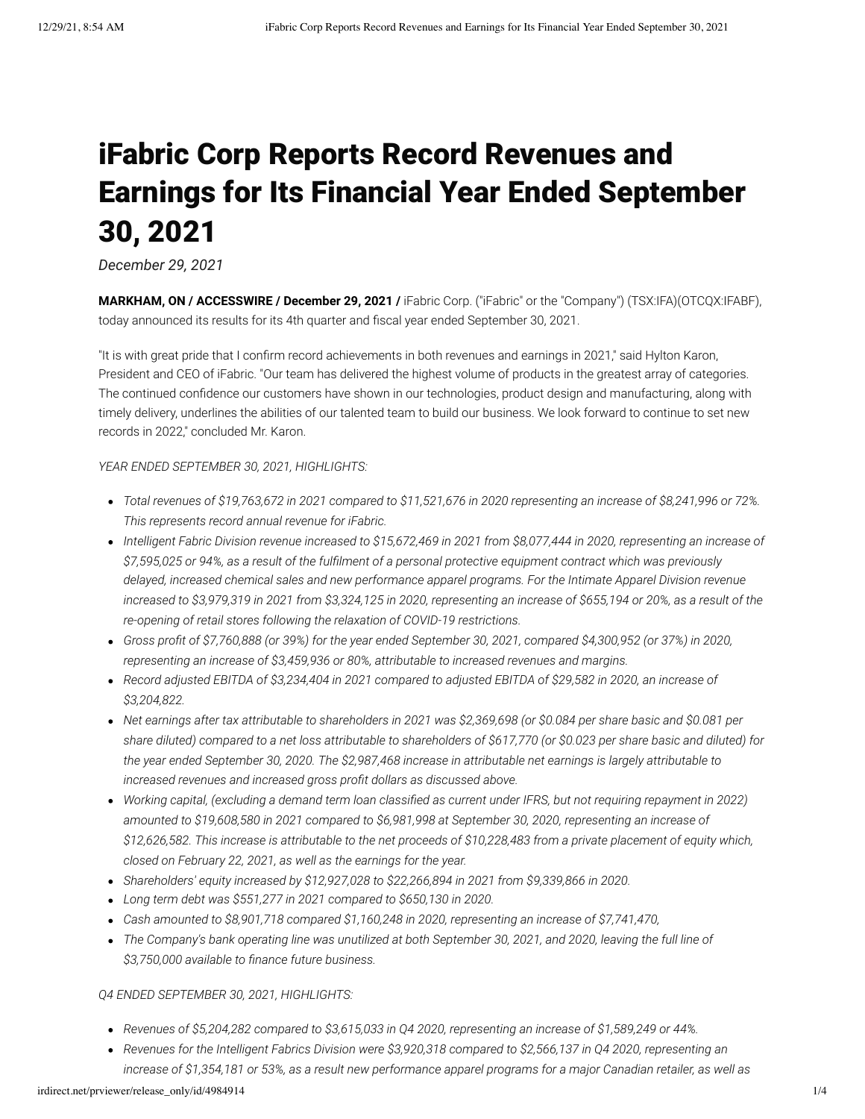# iFabric Corp Reports Record Revenues and Earnings for Its Financial Year Ended September 30, 2021

*December 29, 2021*

**MARKHAM, ON / ACCESSWIRE / December 29, 2021 /** iFabric Corp. ("iFabric" or the "Company") (TSX:IFA)(OTCQX:IFABF), today announced its results for its 4th quarter and fiscal year ended September 30, 2021.

"It is with great pride that I confirm record achievements in both revenues and earnings in 2021," said Hylton Karon, President and CEO of iFabric. "Our team has delivered the highest volume of products in the greatest array of categories. The continued confidence our customers have shown in our technologies, product design and manufacturing, along with timely delivery, underlines the abilities of our talented team to build our business. We look forward to continue to set new records in 2022," concluded Mr. Karon.

# *YEAR ENDED SEPTEMBER 30, 2021, HIGHLIGHTS:*

- *Total revenues of \$19,763,672 in 2021 compared to \$11,521,676 in 2020 representing an increase of \$8,241,996 or 72%. This represents record annual revenue for iFabric.*
- *Intelligent Fabric Division revenue increased to \$15,672,469 in 2021 from \$8,077,444 in 2020, representing an increase of \$7,595,025 or 94%, as a result of the fulfilment of a personal protective equipment contract which was previously delayed, increased chemical sales and new performance apparel programs. For the Intimate Apparel Division revenue increased to \$3,979,319 in 2021 from \$3,324,125 in 2020, representing an increase of \$655,194 or 20%, as a result of the re-opening of retail stores following the relaxation of COVID-19 restrictions.*
- *Gross profit of \$7,760,888 (or 39%) for the year ended September 30, 2021, compared \$4,300,952 (or 37%) in 2020, representing an increase of \$3,459,936 or 80%, attributable to increased revenues and margins.*
- *Record adjusted EBITDA of \$3,234,404 in 2021 compared to adjusted EBITDA of \$29,582 in 2020, an increase of \$3,204,822.*
- *Net earnings after tax attributable to shareholders in 2021 was \$2,369,698 (or \$0.084 per share basic and \$0.081 per share diluted) compared to a net loss attributable to shareholders of \$617,770 (or \$0.023 per share basic and diluted) for the year ended September 30, 2020. The \$2,987,468 increase in attributable net earnings is largely attributable to increased revenues and increased gross profit dollars as discussed above.*
- *Working capital, (excluding a demand term loan classified as current under IFRS, but not requiring repayment in 2022) amounted to \$19,608,580 in 2021 compared to \$6,981,998 at September 30, 2020, representing an increase of \$12,626,582. This increase is attributable to the net proceeds of \$10,228,483 from a private placement of equity which, closed on February 22, 2021, as well as the earnings for the year.*
- *Shareholders' equity increased by \$12,927,028 to \$22,266,894 in 2021 from \$9,339,866 in 2020.*
- *Long term debt was \$551,277 in 2021 compared to \$650,130 in 2020.*
- *Cash amounted to \$8,901,718 compared \$1,160,248 in 2020, representing an increase of \$7,741,470,*
- *The Company's bank operating line was unutilized at both September 30, 2021, and 2020, leaving the full line of \$3,750,000 available to finance future business.*

## *Q4 ENDED SEPTEMBER 30, 2021, HIGHLIGHTS:*

- *Revenues of \$5,204,282 compared to \$3,615,033 in Q4 2020, representing an increase of \$1,589,249 or 44%.*
- *Revenues for the Intelligent Fabrics Division were \$3,920,318 compared to \$2,566,137 in Q4 2020, representing an increase of \$1,354,181 or 53%, as a result new performance apparel programs for a major Canadian retailer, as well as*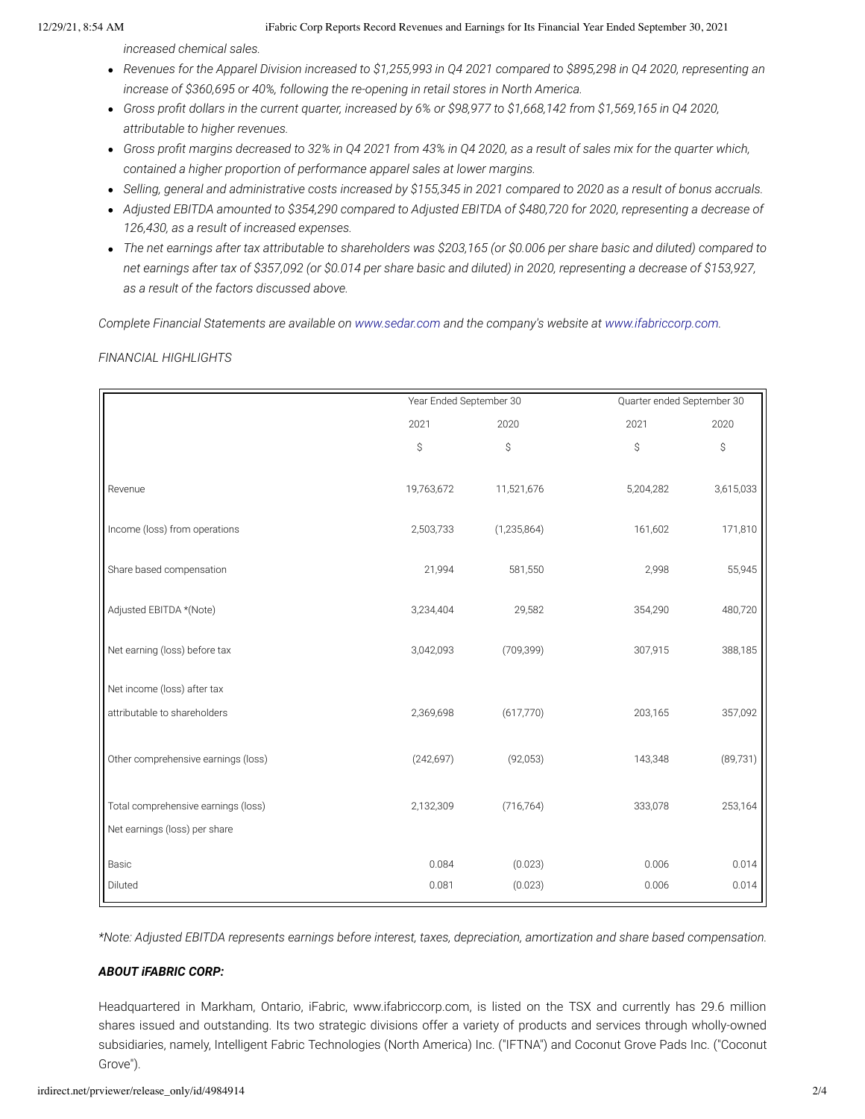### 12/29/21, 8:54 AM iFabric Corp Reports Record Revenues and Earnings for Its Financial Year Ended September 30, 2021

*increased chemical sales.*

- *Revenues for the Apparel Division increased to \$1,255,993 in Q4 2021 compared to \$895,298 in Q4 2020, representing an increase of \$360,695 or 40%, following the re-opening in retail stores in North America.*
- *Gross profit dollars in the current quarter, increased by 6% or \$98,977 to \$1,668,142 from \$1,569,165 in Q4 2020, attributable to higher revenues.*
- *Gross profit margins decreased to 32% in Q4 2021 from 43% in Q4 2020, as a result of sales mix for the quarter which, contained a higher proportion of performance apparel sales at lower margins.*
- *Selling, general and administrative costs increased by \$155,345 in 2021 compared to 2020 as a result of bonus accruals.*
- *Adjusted EBITDA amounted to \$354,290 compared to Adjusted EBITDA of \$480,720 for 2020, representing a decrease of 126,430, as a result of increased expenses.*
- *The net earnings after tax attributable to shareholders was \$203,165 (or \$0.006 per share basic and diluted) compared to net earnings after tax of \$357,092 (or \$0.014 per share basic and diluted) in 2020, representing a decrease of \$153,927, as a result of the factors discussed above.*

*Complete Financial Statements are available on [www.sedar.com](https://pr.report/cKPxoWsa) and the company's website at [www.ifabriccorp.com.](https://pr.report/FCdOWklw)*

*FINANCIAL HIGHLIGHTS*

|                                     | Year Ended September 30 |               |           | Quarter ended September 30 |  |
|-------------------------------------|-------------------------|---------------|-----------|----------------------------|--|
|                                     | 2021                    | 2020          | 2021      | 2020                       |  |
|                                     | \$                      | \$            | \$        | \$                         |  |
| Revenue                             | 19,763,672              | 11,521,676    | 5,204,282 | 3,615,033                  |  |
| Income (loss) from operations       | 2,503,733               | (1, 235, 864) | 161,602   | 171,810                    |  |
| Share based compensation            | 21,994                  | 581,550       | 2,998     | 55,945                     |  |
| Adjusted EBITDA *(Note)             | 3,234,404               | 29,582        | 354,290   | 480,720                    |  |
| Net earning (loss) before tax       | 3,042,093               | (709, 399)    | 307,915   | 388,185                    |  |
| Net income (loss) after tax         |                         |               |           |                            |  |
| attributable to shareholders        | 2,369,698               | (617,770)     | 203,165   | 357,092                    |  |
| Other comprehensive earnings (loss) | (242, 697)              | (92,053)      | 143,348   | (89, 731)                  |  |
| Total comprehensive earnings (loss) | 2,132,309               | (716, 764)    | 333,078   | 253,164                    |  |
| Net earnings (loss) per share       |                         |               |           |                            |  |
| Basic                               | 0.084                   | (0.023)       | 0.006     | 0.014                      |  |
| Diluted                             | 0.081                   | (0.023)       | 0.006     | 0.014                      |  |

*\*Note: Adjusted EBITDA represents earnings before interest, taxes, depreciation, amortization and share based compensation.*

# *ABOUT iFABRIC CORP:*

Headquartered in Markham, Ontario, iFabric, www.ifabriccorp.com, is listed on the TSX and currently has 29.6 million shares issued and outstanding. Its two strategic divisions offer a variety of products and services through wholly-owned subsidiaries, namely, Intelligent Fabric Technologies (North America) Inc. ("IFTNA") and Coconut Grove Pads Inc. ("Coconut Grove").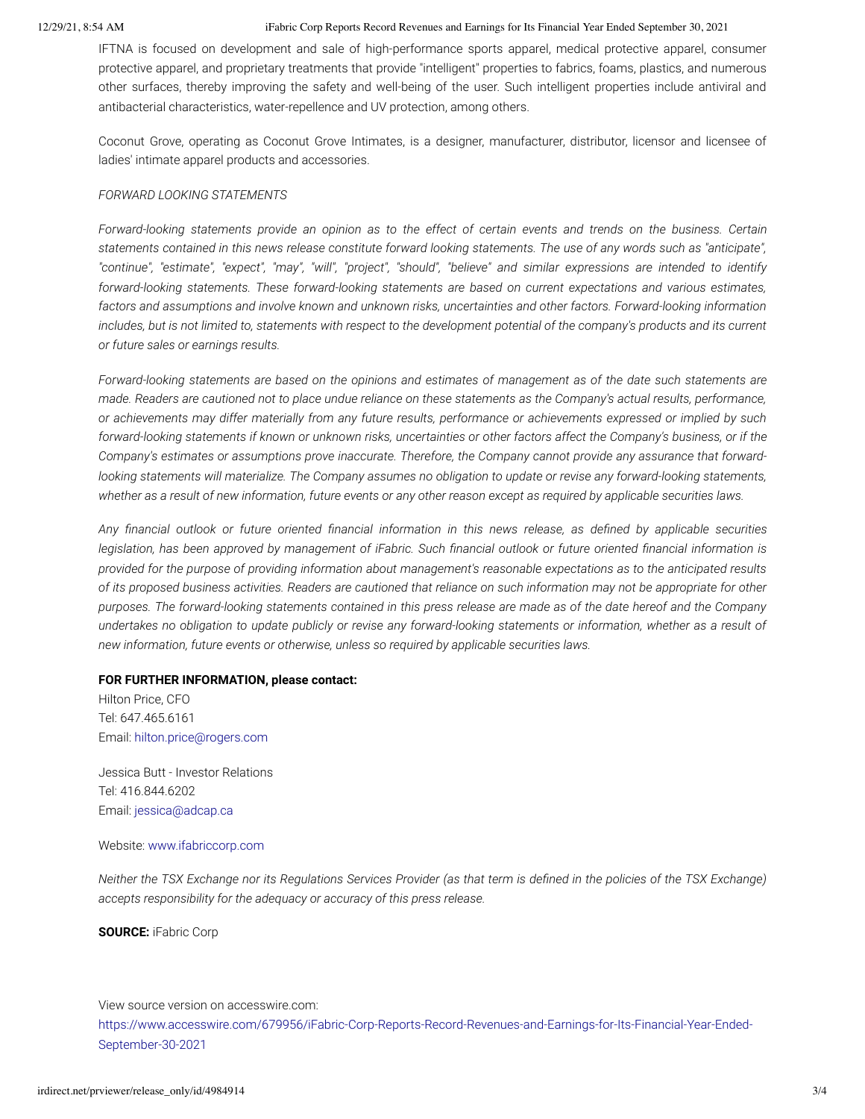#### 12/29/21, 8:54 AM iFabric Corp Reports Record Revenues and Earnings for Its Financial Year Ended September 30, 2021

IFTNA is focused on development and sale of high-performance sports apparel, medical protective apparel, consumer protective apparel, and proprietary treatments that provide "intelligent" properties to fabrics, foams, plastics, and numerous other surfaces, thereby improving the safety and well-being of the user. Such intelligent properties include antiviral and antibacterial characteristics, water-repellence and UV protection, among others.

Coconut Grove, operating as Coconut Grove Intimates, is a designer, manufacturer, distributor, licensor and licensee of ladies' intimate apparel products and accessories.

# *FORWARD LOOKING STATEMENTS*

*Forward-looking statements provide an opinion as to the effect of certain events and trends on the business. Certain statements contained in this news release constitute forward looking statements. The use of any words such as "anticipate", "continue", "estimate", "expect", "may", "will", "project", "should", "believe" and similar expressions are intended to identify forward-looking statements. These forward-looking statements are based on current expectations and various estimates, factors and assumptions and involve known and unknown risks, uncertainties and other factors. Forward-looking information includes, but is not limited to, statements with respect to the development potential of the company's products and its current or future sales or earnings results.*

*Forward-looking statements are based on the opinions and estimates of management as of the date such statements are made. Readers are cautioned not to place undue reliance on these statements as the Company's actual results, performance, or achievements may differ materially from any future results, performance or achievements expressed or implied by such forward-looking statements if known or unknown risks, uncertainties or other factors affect the Company's business, or if the Company's estimates or assumptions prove inaccurate. Therefore, the Company cannot provide any assurance that forwardlooking statements will materialize. The Company assumes no obligation to update or revise any forward-looking statements, whether as a result of new information, future events or any other reason except as required by applicable securities laws.*

*Any financial outlook or future oriented financial information in this news release, as defined by applicable securities legislation, has been approved by management of iFabric. Such financial outlook or future oriented financial information is provided for the purpose of providing information about management's reasonable expectations as to the anticipated results of its proposed business activities. Readers are cautioned that reliance on such information may not be appropriate for other purposes. The forward-looking statements contained in this press release are made as of the date hereof and the Company undertakes no obligation to update publicly or revise any forward-looking statements or information, whether as a result of new information, future events or otherwise, unless so required by applicable securities laws.*

## **FOR FURTHER INFORMATION, please contact:**

Hilton Price, CFO Tel: 647.465.6161 Email: [hilton.price@rogers.com](mailto:hilton.price@rogers.com)

Jessica Butt - Investor Relations Tel: 416.844.6202 Email: [jessica@adcap.ca](mailto:jessica@adcap.ca)

## Website: [www.ifabriccorp.com](https://pr.report/nXO87TCP)

*Neither the TSX Exchange nor its Regulations Services Provider (as that term is defined in the policies of the TSX Exchange) accepts responsibility for the adequacy or accuracy of this press release.*

**SOURCE:** iFabric Corp

View source version on accesswire.com:

[https://www.accesswire.com/679956/iFabric-Corp-Reports-Record-Revenues-and-Earnings-for-Its-Financial-Year-Ended-](https://www.accesswire.com/679956/iFabric-Corp-Reports-Record-Revenues-and-Earnings-for-Its-Financial-Year-Ended-September-30-2021)September-30-2021